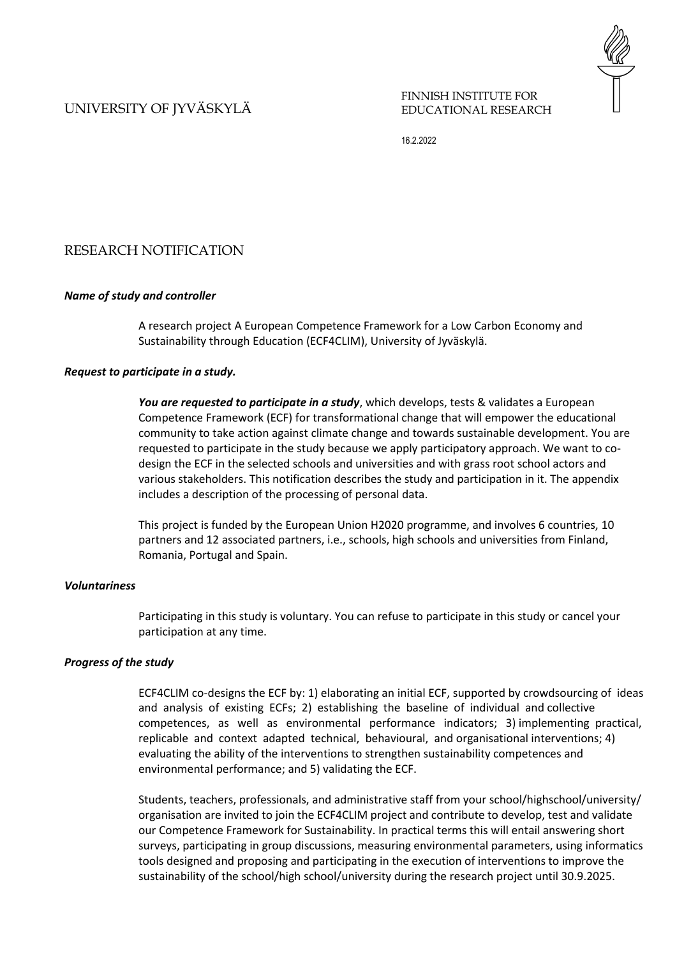# UNIVERSITY OF JYVÄSKYLÄ

FINNISH INSTITUTE FOR EDUCATIONAL RESEARCH

16.2.2022

# RESEARCH NOTIFICATION

#### *Name of study and controller*

A research project A European Competence Framework for a Low Carbon Economy and Sustainability through Education (ECF4CLIM), University of Jyväskylä.

### *Request to participate in a study.*

*You are requested to participate in a study*, which develops, tests & validates a European Competence Framework (ECF) for transformational change that will empower the educational community to take action against climate change and towards sustainable development. You are requested to participate in the study because we apply participatory approach. We want to codesign the ECF in the selected schools and universities and with grass root school actors and various stakeholders. This notification describes the study and participation in it. The appendix includes a description of the processing of personal data.

This project is funded by the European Union H2020 programme, and involves 6 countries, 10 partners and 12 associated partners, i.e., schools, high schools and universities from Finland, Romania, Portugal and Spain.

### *Voluntariness*

Participating in this study is voluntary. You can refuse to participate in this study or cancel your participation at any time.

#### *Progress of the study*

ECF4CLIM co-designs the ECF by: 1) elaborating an initial ECF, supported by crowdsourcing of ideas and analysis of existing ECFs; 2) establishing the baseline of individual and collective competences, as well as environmental performance indicators; 3) implementing practical, replicable and context adapted technical, behavioural, and organisational interventions; 4) evaluating the ability of the interventions to strengthen sustainability competences and environmental performance; and 5) validating the ECF.

Students, teachers, professionals, and administrative staff from your school/highschool/university/ organisation are invited to join the ECF4CLIM project and contribute to develop, test and validate our Competence Framework for Sustainability. In practical terms this will entail answering short surveys, participating in group discussions, measuring environmental parameters, using informatics tools designed and proposing and participating in the execution of interventions to improve the sustainability of the school/high school/university during the research project until 30.9.2025.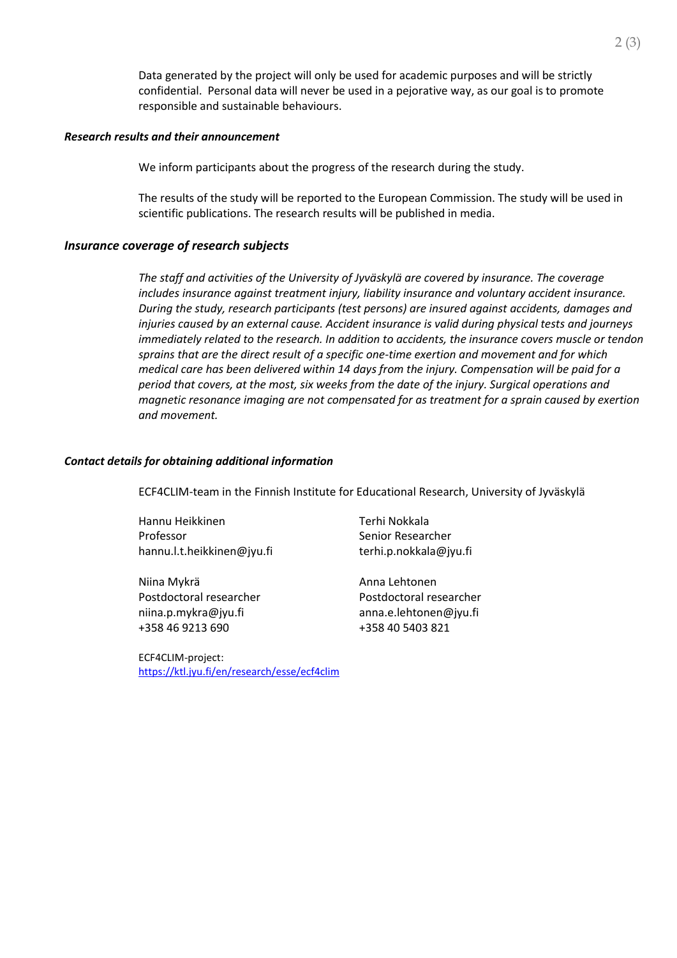Data generated by the project will only be used for academic purposes and will be strictly confidential. Personal data will never be used in a pejorative way, as our goal is to promote responsible and sustainable behaviours.

### *Research results and their announcement*

We inform participants about the progress of the research during the study.

The results of the study will be reported to the European Commission. The study will be used in scientific publications. The research results will be published in media.

## *Insurance coverage of research subjects*

*The staff and activities of the University of Jyväskylä are covered by insurance. The coverage includes insurance against treatment injury, liability insurance and voluntary accident insurance. During the study, research participants (test persons) are insured against accidents, damages and injuries caused by an external cause. Accident insurance is valid during physical tests and journeys immediately related to the research. In addition to accidents, the insurance covers muscle or tendon sprains that are the direct result of a specific one-time exertion and movement and for which medical care has been delivered within 14 days from the injury. Compensation will be paid for a period that covers, at the most, six weeks from the date of the injury. Surgical operations and magnetic resonance imaging are not compensated for as treatment for a sprain caused by exertion and movement.*

## *Contact details for obtaining additional information*

ECF4CLIM-team in the Finnish Institute for Educational Research, University of Jyväskylä

Hannu Heikkinen Professor hannu.l.t.heikkinen@jyu.fi

Niina Mykrä Postdoctoral researcher [niina.p.mykra@jyu.fi](mailto:niina.p.mykra@jyu.fi) +358 46 9213 690

ECF4CLIM-project: <https://ktl.jyu.fi/en/research/esse/ecf4clim> Terhi Nokkala Senior Researcher terhi.p.nokkala@jyu.fi

Anna Lehtonen Postdoctoral researcher [anna.e.lehtonen@jyu.fi](mailto:anna.e.lehtonen@jyu.fi) +358 40 5403 821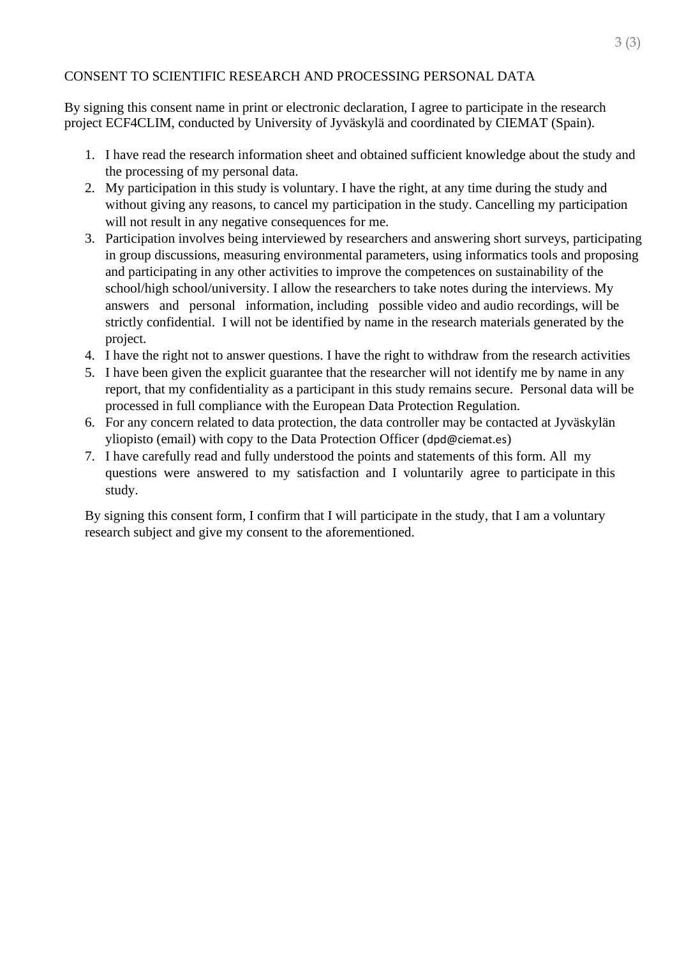# CONSENT TO SCIENTIFIC RESEARCH AND PROCESSING PERSONAL DATA

By signing this consent name in print or electronic declaration, I agree to participate in the research project ECF4CLIM, conducted by University of Jyväskylä and coordinated by CIEMAT (Spain).

- 1. I have read the research information sheet and obtained sufficient knowledge about the study and the processing of my personal data.
- 2. My participation in this study is voluntary. I have the right, at any time during the study and without giving any reasons, to cancel my participation in the study. Cancelling my participation will not result in any negative consequences for me.
- 3. Participation involves being interviewed by researchers and answering short surveys, participating in group discussions, measuring environmental parameters, using informatics tools and proposing and participating in any other activities to improve the competences on sustainability of the school/high school/university. I allow the researchers to take notes during the interviews. My answers and personal information, including possible video and audio recordings, will be strictly confidential. I will not be identified by name in the research materials generated by the project.
- 4. I have the right not to answer questions. I have the right to withdraw from the research activities
- 5. I have been given the explicit guarantee that the researcher will not identify me by name in any report, that my confidentiality as a participant in this study remains secure. Personal data will be processed in full compliance with the European Data Protection Regulation.
- 6. For any concern related to data protection, the data controller may be contacted at Jyväskylän yliopisto (email) with copy to the Data Protection Officer ([dpd@ciemat.es](mailto:dpd@ciemat.es))
- 7. I have carefully read and fully understood the points and statements of this form. All my questions were answered to my satisfaction and I voluntarily agree to participate in this study.

By signing this consent form, I confirm that I will participate in the study, that I am a voluntary research subject and give my consent to the aforementioned.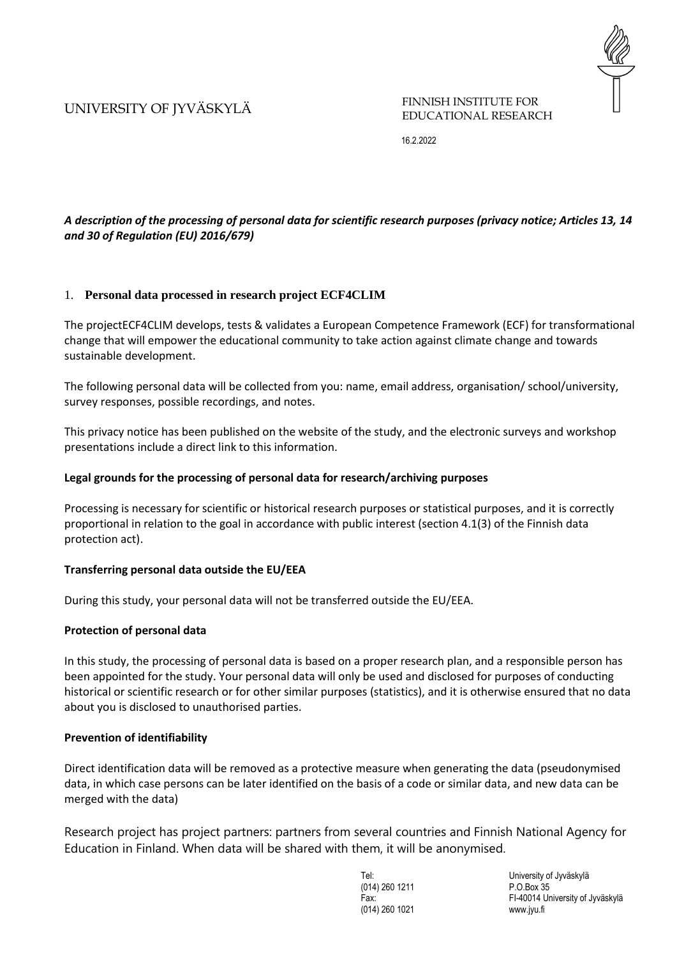# UNIVERSITY OF JYVÄSKYLÄ

FINNISH INSTITUTE FOR EDUCATIONAL RESEARCH

16.2.2022

# *A description of the processing of personal data for scientific research purposes (privacy notice; Articles 13, 14 and 30 of Regulation (EU) 2016/679)*

## 1. **Personal data processed in research project ECF4CLIM**

The projectECF4CLIM develops, tests & validates a European Competence Framework (ECF) for transformational change that will empower the educational community to take action against climate change and towards sustainable development.

The following personal data will be collected from you: name, email address, organisation/ school/university, survey responses, possible recordings, and notes.

This privacy notice has been published on the website of the study, and the electronic surveys and workshop presentations include a direct link to this information.

## **Legal grounds for the processing of personal data for research/archiving purposes**

Processing is necessary for scientific or historical research purposes or statistical purposes, and it is correctly proportional in relation to the goal in accordance with public interest (section 4.1(3) of the Finnish data protection act).

## **Transferring personal data outside the EU/EEA**

During this study, your personal data will not be transferred outside the EU/EEA.

## **Protection of personal data**

In this study, the processing of personal data is based on a proper research plan, and a responsible person has been appointed for the study. Your personal data will only be used and disclosed for purposes of conducting historical or scientific research or for other similar purposes (statistics), and it is otherwise ensured that no data about you is disclosed to unauthorised parties.

## **Prevention of identifiability**

Direct identification data will be removed as a protective measure when generating the data (pseudonymised data, in which case persons can be later identified on the basis of a code or similar data, and new data can be merged with the data)

Research project has project partners: partners from several countries and Finnish National Agency for Education in Finland. When data will be shared with them, it will be anonymised.

> (014) 260 1211 P.O.Box 35 (014) 260 1021 www.jyu.fi

Tel: University of Jyväskylä Fax: FI-40014 University of Jyväskylä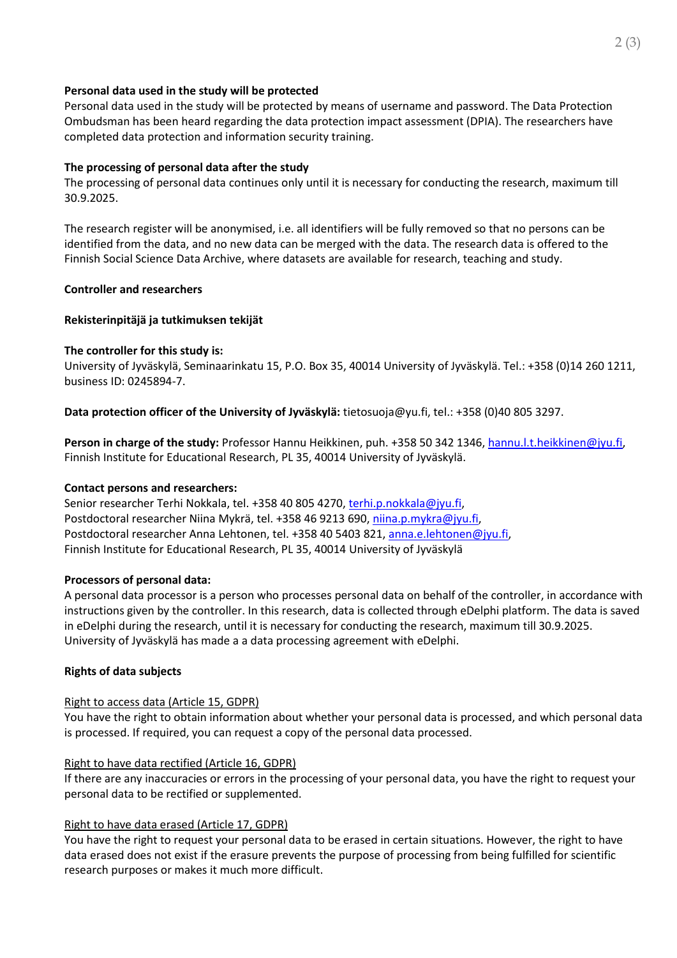## **Personal data used in the study will be protected**

Personal data used in the study will be protected by means of username and password. The Data Protection Ombudsman has been heard regarding the data protection impact assessment (DPIA). The researchers have completed data protection and information security training.

# **The processing of personal data after the study**

The processing of personal data continues only until it is necessary for conducting the research, maximum till 30.9.2025.

The research register will be anonymised, i.e. all identifiers will be fully removed so that no persons can be identified from the data, and no new data can be merged with the data. The research data is offered to the Finnish Social Science Data Archive, where datasets are available for research, teaching and study.

# **Controller and researchers**

# **Rekisterinpitäjä ja tutkimuksen tekijät**

## **The controller for this study is:**

University of Jyväskylä, Seminaarinkatu 15, P.O. Box 35, 40014 University of Jyväskylä. Tel.: +358 (0)14 260 1211, business ID: 0245894-7.

**Data protection officer of the University of Jyväskylä:** tietosuoja@yu.fi, tel.: +358 (0)40 805 3297.

**Person in charge of the study:** Professor Hannu Heikkinen, puh. +358 50 342 1346, [hannu.l.t.heikkinen@jyu.fi,](mailto:hannu.l.t.heikkinen@jyu.fi) Finnish Institute for Educational Research, PL 35, 40014 University of Jyväskylä.

## **Contact persons and researchers:**

Senior researcher Terhi Nokkala, tel. +358 40 805 4270[, terhi.p.nokkala@jyu.fi,](mailto:terhi.p.nokkala@jyu.fi) Postdoctoral researcher Niina Mykrä, tel. +358 46 9213 690, [niina.p.mykra@jyu.fi,](mailto:niina.p.mykra@jyu.fi) Postdoctoral researcher Anna Lehtonen, tel. +358 40 5403 821[, anna.e.lehtonen@jyu.fi,](mailto:anna.e.lehtonen@jyu.fi) Finnish Institute for Educational Research, PL 35, 40014 University of Jyväskylä

## **Processors of personal data:**

A personal data processor is a person who processes personal data on behalf of the controller, in accordance with instructions given by the controller. In this research, data is collected through eDelphi platform. The data is saved in eDelphi during the research, until it is necessary for conducting the research, maximum till 30.9.2025. University of Jyväskylä has made a a data processing agreement with eDelphi.

# **Rights of data subjects**

# Right to access data (Article 15, GDPR)

You have the right to obtain information about whether your personal data is processed, and which personal data is processed. If required, you can request a copy of the personal data processed.

# Right to have data rectified (Article 16, GDPR)

If there are any inaccuracies or errors in the processing of your personal data, you have the right to request your personal data to be rectified or supplemented.

## Right to have data erased (Article 17, GDPR)

You have the right to request your personal data to be erased in certain situations. However, the right to have data erased does not exist if the erasure prevents the purpose of processing from being fulfilled for scientific research purposes or makes it much more difficult.